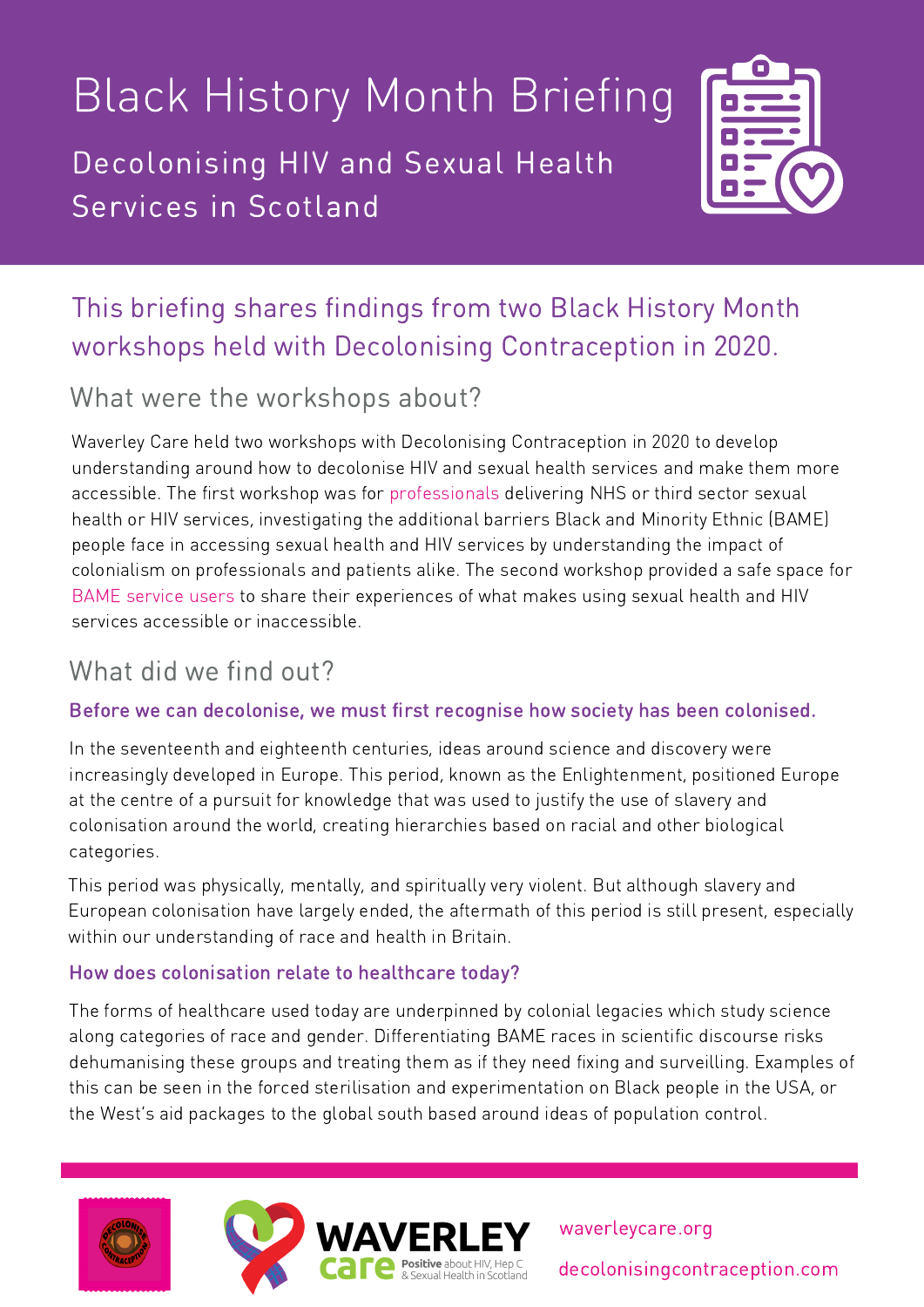# Black History Month Briefing

Decolonising HIV and Sexual Health Services in Scotland



## This briefing shares findings from two Black History Month workshops held with Decolonising Contraception in 2020.

## What were the workshops about?

Waverley Care held two workshops with Decolonising Contraception in 2020 to develop understanding around how to decolonise HIV and sexual health services and make them more accessible. The first workshop was for professionals delivering NHS or third sector sexual health or HIV services, investigating the additional barriers Black and Minority Ethnic (BAME) people face in accessing sexual health and HIV services by understanding the impact of colonialism on professionals and patients alike. The second workshop provided a safe space for BAME service users to share their experiences of what makes using sexual health and HIV services accessible or inaccessible.

## What did we find out?

## Before we can decolonise, we must first recognise how society has been colonised.

In the seventeenth and eighteenth centuries, ideas around science and discovery were increasingly developed in Europe. This period, known as the Enlightenment, positioned Europe at the centre of a pursuit for knowledge that was used to justify the use of slavery and colonisation around the world, creating hierarchies based on racial and other biological categories.

This period was physically, mentally, and spiritually very violent. But although slavery and European colonisation have largely ended, the aftermath of this period is still present, especially within our understanding of race and health in Britain.

## How does colonisation relate to healthcare today?

The forms of healthcare used today are underpinned by colonial legacies which study science along categories of race and gender. Differentiating BAME races in scientific discourse risks dehumanising these groups and treating them as if they need fixing and surveilling. Examples of this can be seen in the forced sterilisation and experimentation on Black people in the USA, or the West's aid packages to the global south based around ideas of population control.







waverleycare.org decolonisingcontraception.com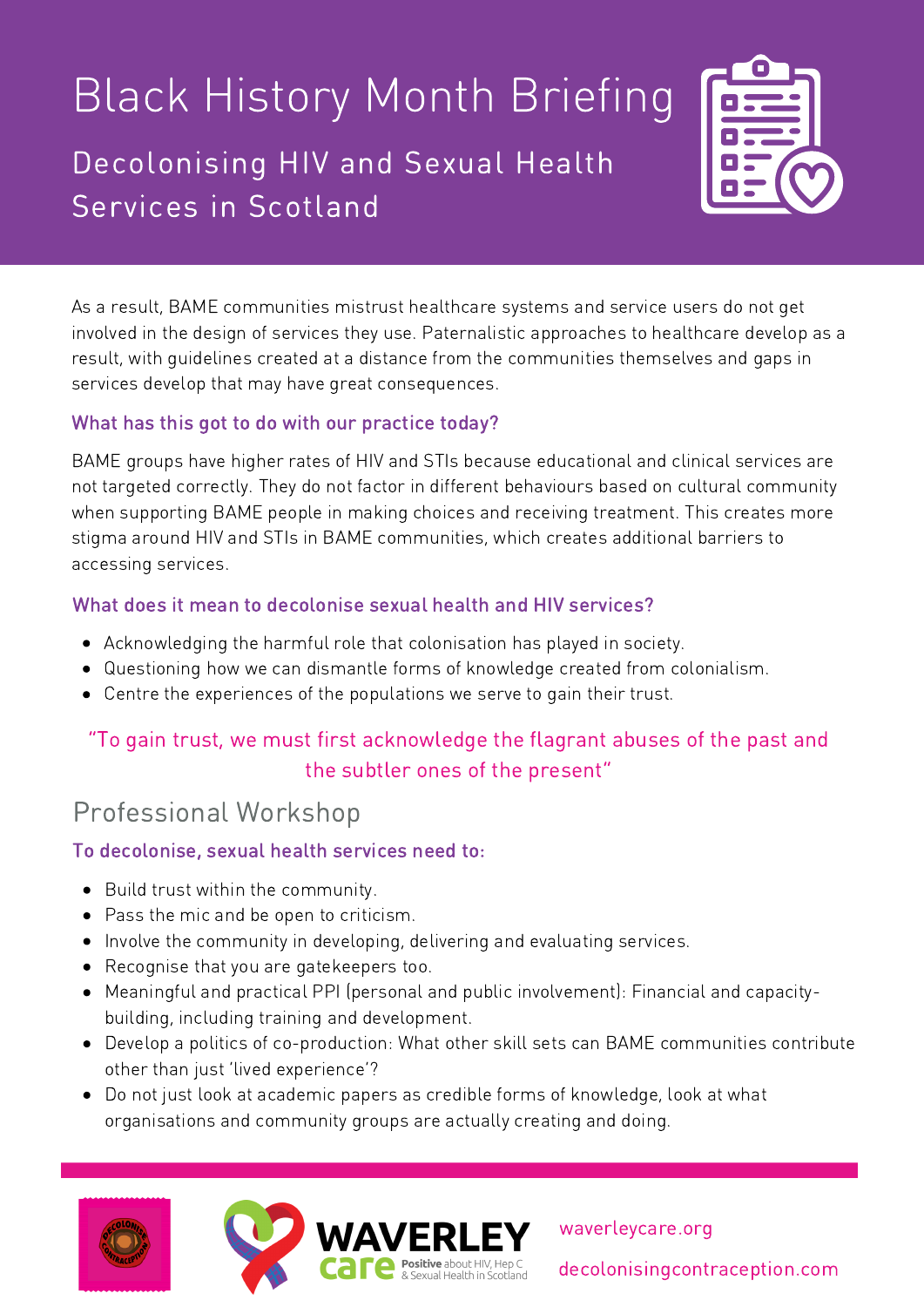## Black History Month Briefing Decolonising HIV and Sexual Health Services in Scotland



As a result, BAME communities mistrust healthcare systems and service users do not get involved in the design of services they use. Paternalistic approaches to healthcare develop as a result, with guidelines created at a distance from the communities themselves and gaps in services develop that may have great consequences.

#### What has this got to do with our practice today?

BAME groups have higher rates of HIV and STIs because educational and clinical services are not targeted correctly. They do not factor in different behaviours based on cultural community when supporting BAME people in making choices and receiving treatment. This creates more stigma around HIV and STIs in BAME communities, which creates additional barriers to accessing services.

#### What does it mean to decolonise sexual health and HIV services?

- Acknowledging the harmful role that colonisation has played in society.
- Questioning how we can dismantle forms of knowledge created from colonialism.
- Centre the experiences of the populations we serve to gain their trust.

## "To gain trust, we must first acknowledge the flagrant abuses of the past and the subtler ones of the present"

## Professional Workshop

#### To decolonise, sexual health services need to:

- Build trust within the community.
- Pass the mic and be open to criticism.
- Involve the community in developing, delivering and evaluating services.
- Recognise that you are gatekeepers too.
- Meaningful and practical PPI (personal and public involvement): Financial and capacitybuilding, including training and development.
- Develop a politics of co-production: What other skill sets can BAME communities contribute other than just 'lived experience'?
- Do not just look at academic papers as credible forms of knowledge, look at what organisations and community groups are actually creating and doing.







waverleycare.org decolonisingcontraception.com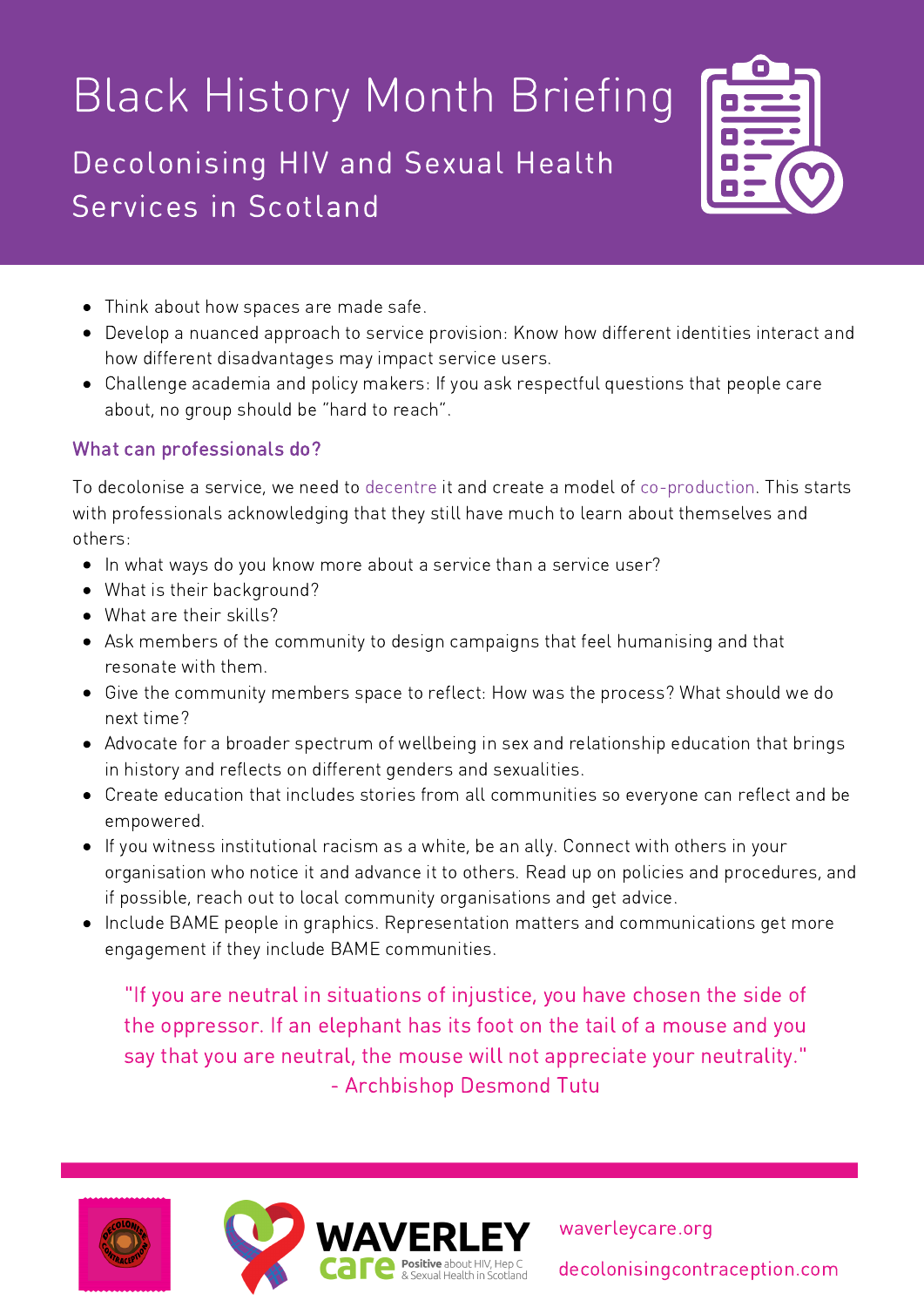## Black History Month Briefing

Decolonising HIV and Sexual Health Services in Scotland



- Think about how spaces are made safe.
- Develop a nuanced approach to service provision: Know how different identities interact and how different disadvantages may impact service users.
- Challenge academia and policy makers: If you ask respectful questions that people care about, no group should be "hard to reach".

#### What can professionals do?

To decolonise a service, we need to decentre it and create a model of co-production. This starts with professionals acknowledging that they still have much to learn about themselves and others:

- In what ways do you know more about a service than a service user?
- What is their background?
- What are their skills?
- Ask members of the community to design campaigns that feel humanising and that resonate with them.
- Give the community members space to reflect: How was the process? What should we do next time?
- Advocate for a broader spectrum of wellbeing in sex and relationship education that brings in history and reflects on different genders and sexualities.
- Create education that includes stories from all communities so everyone can reflect and be empowered.
- If you witness institutional racism as a white, be an ally. Connect with others in your organisation who notice it and advance it to others. Read up on policies and procedures, and if possible, reach out to local community organisations and get advice.
- Include BAME people in graphics. Representation matters and communications get more engagement if they include BAME communities.

"If you are neutral in situations of injustice, you have chosen the side of the oppressor. If an elephant has its foot on the tail of a mouse and you say that you are neutral, the mouse will not appreciate your neutrality." - Archbishop Desmond Tutu